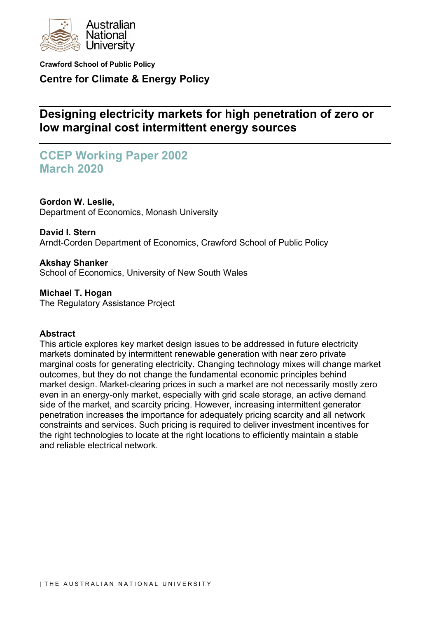

**Crawford School of Public Policy Centre for Climate & Energy Policy**

# **Designing electricity markets for high penetration of zero or low marginal cost intermittent energy sources**

# **CCEP Working Paper 2002 March 2020**

**Gordon W. Leslie,** Department of Economics, Monash University

**David I. Stern**

Arndt-Corden Department of Economics, Crawford School of Public Policy

**Akshay Shanker** School of Economics, University of New South Wales

**Michael T. Hogan** The Regulatory Assistance Project

# **Abstract**

This article explores key market design issues to be addressed in future electricity markets dominated by intermittent renewable generation with near zero private marginal costs for generating electricity. Changing technology mixes will change market outcomes, but they do not change the fundamental economic principles behind market design. Market-clearing prices in such a market are not necessarily mostly zero even in an energy-only market, especially with grid scale storage, an active demand side of the market, and scarcity pricing. However, increasing intermittent generator penetration increases the importance for adequately pricing scarcity and all network constraints and services. Such pricing is required to deliver investment incentives for the right technologies to locate at the right locations to efficiently maintain a stable and reliable electrical network.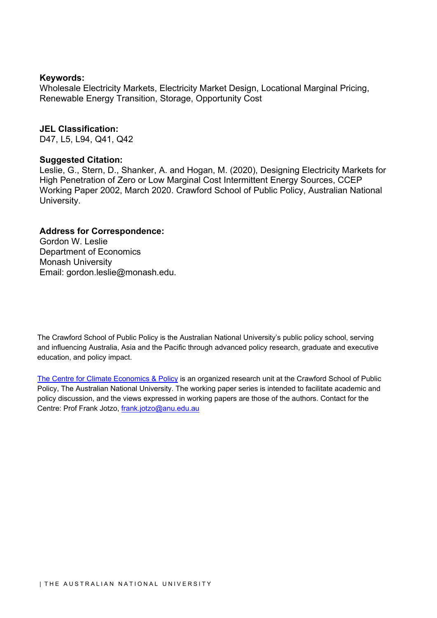### **Keywords:**

Wholesale Electricity Markets, Electricity Market Design, Locational Marginal Pricing, Renewable Energy Transition, Storage, Opportunity Cost

### **JEL Classification:**

D47, L5, L94, Q41, Q42

## **Suggested Citation:**

Leslie, G., Stern, D., Shanker, A. and Hogan, M. (2020), Designing Electricity Markets for High Penetration of Zero or Low Marginal Cost Intermittent Energy Sources, CCEP Working Paper 2002, March 2020. Crawford School of Public Policy, Australian National University.

## **Address for Correspondence:**

Gordon W. Leslie Department of Economics Monash University Email: gordon.leslie@monash.edu.

The Crawford School of Public Policy is the Australian National University's public policy school, serving and influencing Australia, Asia and the Pacific through advanced policy research, graduate and executive education, and policy impact.

[The Centre for Climate Economics & Policy](http://ccep.anu.edu.au/) is an organized research unit at the Crawford School of Public Policy, The Australian National University. The working paper series is intended to facilitate academic and policy discussion, and the views expressed in working papers are those of the authors. Contact for the Centre: Prof Frank Jotzo, [frank.jotzo@anu.edu.au](mailto:frank.jotzo@anu.edu.au)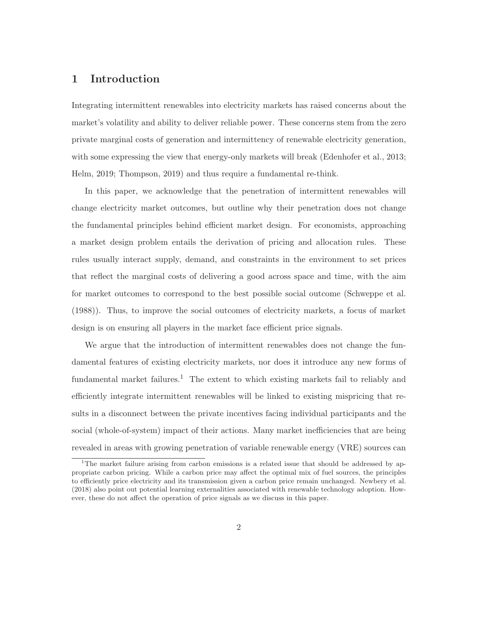# **1 Introduction**

Integrating intermittent renewables into electricity markets has raised concerns about the market's volatility and ability to deliver reliable power. These concerns stem from the zero private marginal costs of generation and intermittency of renewable electricity generation, with some expressing the view that energy-only markets will break (Edenhofer et al., 2013; Helm, 2019; Thompson, 2019) and thus require a fundamental re-think.

In this paper, we acknowledge that the penetration of intermittent renewables will change electricity market outcomes, but outline why their penetration does not change the fundamental principles behind efficient market design. For economists, approaching a market design problem entails the derivation of pricing and allocation rules. These rules usually interact supply, demand, and constraints in the environment to set prices that reflect the marginal costs of delivering a good across space and time, with the aim for market outcomes to correspond to the best possible social outcome (Schweppe et al. (1988)). Thus, to improve the social outcomes of electricity markets, a focus of market design is on ensuring all players in the market face efficient price signals.

We argue that the introduction of intermittent renewables does not change the fundamental features of existing electricity markets, nor does it introduce any new forms of fundamental market failures.<sup>1</sup> The extent to which existing markets fail to reliably and efficiently integrate intermittent renewables will be linked to existing mispricing that results in a disconnect between the private incentives facing individual participants and the social (whole-of-system) impact of their actions. Many market inefficiencies that are being revealed in areas with growing penetration of variable renewable energy (VRE) sources can

<sup>&</sup>lt;sup>1</sup>The market failure arising from carbon emissions is a related issue that should be addressed by appropriate carbon pricing. While a carbon price may affect the optimal mix of fuel sources, the principles to efficiently price electricity and its transmission given a carbon price remain unchanged. Newbery et al. (2018) also point out potential learning externalities associated with renewable technology adoption. However, these do not affect the operation of price signals as we discuss in this paper.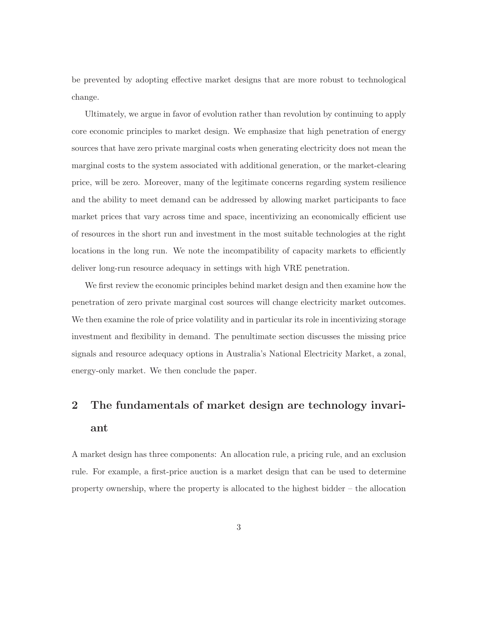be prevented by adopting effective market designs that are more robust to technological change.

Ultimately, we argue in favor of evolution rather than revolution by continuing to apply core economic principles to market design. We emphasize that high penetration of energy sources that have zero private marginal costs when generating electricity does not mean the marginal costs to the system associated with additional generation, or the market-clearing price, will be zero. Moreover, many of the legitimate concerns regarding system resilience and the ability to meet demand can be addressed by allowing market participants to face market prices that vary across time and space, incentivizing an economically efficient use of resources in the short run and investment in the most suitable technologies at the right locations in the long run. We note the incompatibility of capacity markets to efficiently deliver long-run resource adequacy in settings with high VRE penetration.

We first review the economic principles behind market design and then examine how the penetration of zero private marginal cost sources will change electricity market outcomes. We then examine the role of price volatility and in particular its role in incentivizing storage investment and flexibility in demand. The penultimate section discusses the missing price signals and resource adequacy options in Australia's National Electricity Market, a zonal, energy-only market. We then conclude the paper.

# **2 The fundamentals of market design are technology invariant**

A market design has three components: An allocation rule, a pricing rule, and an exclusion rule. For example, a first-price auction is a market design that can be used to determine property ownership, where the property is allocated to the highest bidder – the allocation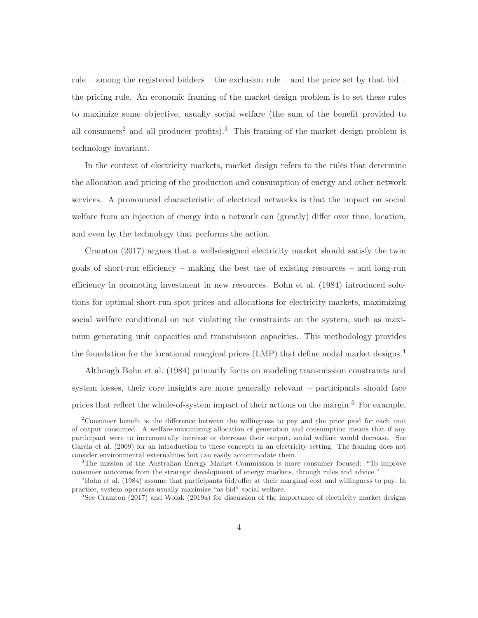rule – among the registered bidders – the exclusion rule – and the price set by that bid – the pricing rule. An economic framing of the market design problem is to set these rules to maximize some objective, usually social welfare (the sum of the benefit provided to all consumers<sup>2</sup> and all producer profits).<sup>3</sup> This framing of the market design problem is technology invariant.

In the context of electricity markets, market design refers to the rules that determine the allocation and pricing of the production and consumption of energy and other network services. A pronounced characteristic of electrical networks is that the impact on social welfare from an injection of energy into a network can (greatly) differ over time, location, and even by the technology that performs the action.

Cramton (2017) argues that a well-designed electricity market should satisfy the twin goals of short-run efficiency – making the best use of existing resources – and long-run efficiency in promoting investment in new resources. Bohn et al. (1984) introduced solutions for optimal short-run spot prices and allocations for electricity markets, maximizing social welfare conditional on not violating the constraints on the system, such as maximum generating unit capacities and transmission capacities. This methodology provides the foundation for the locational marginal prices (LMP) that define nodal market designs.<sup>4</sup>

Although Bohn et al. (1984) primarily focus on modeling transmission constraints and system losses, their core insights are more generally relevant – participants should face prices that reflect the whole-of-system impact of their actions on the margin.<sup>5</sup> For example,

<sup>&</sup>lt;sup>2</sup>Consumer benefit is the difference between the willingness to pay and the price paid for each unit of output consumed. A welfare-maximizing allocation of generation and consumption means that if any participant were to incrementally increase or decrease their output, social welfare would decrease. See Garcia et al. (2009) for an introduction to these concepts in an electricity setting. The framing does not consider environmental externalities but can easily accommodate them.

<sup>3</sup>The mission of the Australian Energy Market Commission is more consumer focused: "To improve consumer outcomes from the strategic development of energy markets, through rules and advice."

<sup>4</sup>Bohn et al. (1984) assume that participants bid/offer at their marginal cost and willingness to pay. In practice, system operators usually maximize "as-bid" social welfare.

<sup>&</sup>lt;sup>5</sup>See Cramton (2017) and Wolak (2019a) for discussion of the importance of electricity market designs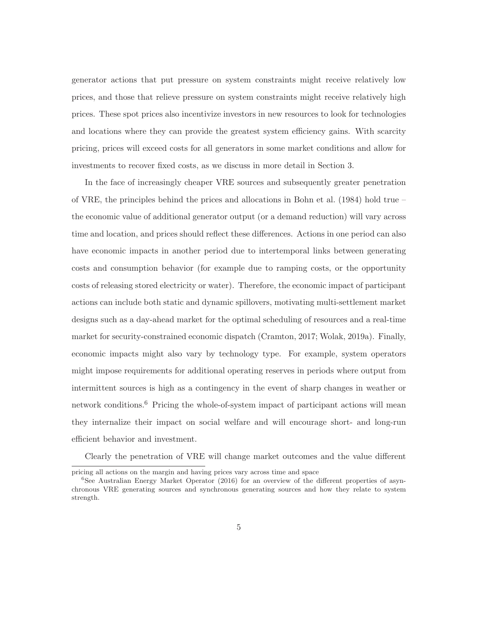generator actions that put pressure on system constraints might receive relatively low prices, and those that relieve pressure on system constraints might receive relatively high prices. These spot prices also incentivize investors in new resources to look for technologies and locations where they can provide the greatest system efficiency gains. With scarcity pricing, prices will exceed costs for all generators in some market conditions and allow for investments to recover fixed costs, as we discuss in more detail in Section 3.

In the face of increasingly cheaper VRE sources and subsequently greater penetration of VRE, the principles behind the prices and allocations in Bohn et al. (1984) hold true – the economic value of additional generator output (or a demand reduction) will vary across time and location, and prices should reflect these differences. Actions in one period can also have economic impacts in another period due to intertemporal links between generating costs and consumption behavior (for example due to ramping costs, or the opportunity costs of releasing stored electricity or water). Therefore, the economic impact of participant actions can include both static and dynamic spillovers, motivating multi-settlement market designs such as a day-ahead market for the optimal scheduling of resources and a real-time market for security-constrained economic dispatch (Cramton, 2017; Wolak, 2019a). Finally, economic impacts might also vary by technology type. For example, system operators might impose requirements for additional operating reserves in periods where output from intermittent sources is high as a contingency in the event of sharp changes in weather or network conditions.<sup>6</sup> Pricing the whole-of-system impact of participant actions will mean they internalize their impact on social welfare and will encourage short- and long-run efficient behavior and investment.

Clearly the penetration of VRE will change market outcomes and the value different

pricing all actions on the margin and having prices vary across time and space

 $6$ See Australian Energy Market Operator (2016) for an overview of the different properties of asynchronous VRE generating sources and synchronous generating sources and how they relate to system strength.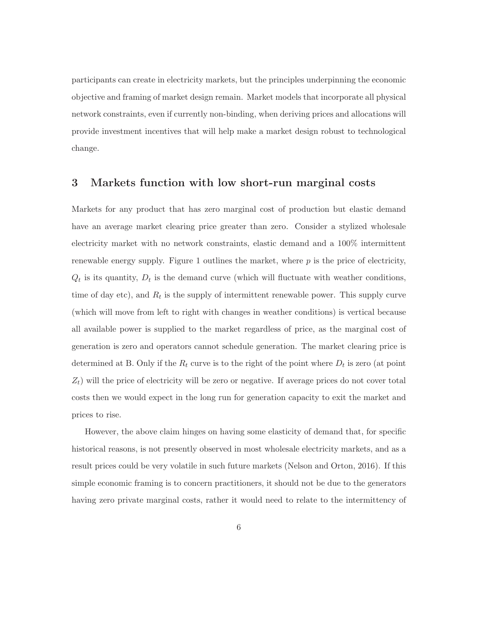participants can create in electricity markets, but the principles underpinning the economic objective and framing of market design remain. Market models that incorporate all physical network constraints, even if currently non-binding, when deriving prices and allocations will provide investment incentives that will help make a market design robust to technological change.

### **3 Markets function with low short-run marginal costs**

Markets for any product that has zero marginal cost of production but elastic demand have an average market clearing price greater than zero. Consider a stylized wholesale electricity market with no network constraints, elastic demand and a 100% intermittent renewable energy supply. Figure 1 outlines the market, where  $p$  is the price of electricity,  $Q_t$  is its quantity,  $D_t$  is the demand curve (which will fluctuate with weather conditions, time of day etc), and  $R_t$  is the supply of intermittent renewable power. This supply curve (which will move from left to right with changes in weather conditions) is vertical because all available power is supplied to the market regardless of price, as the marginal cost of generation is zero and operators cannot schedule generation. The market clearing price is determined at B. Only if the  $R_t$  curve is to the right of the point where  $D_t$  is zero (at point  $Z_t$ ) will the price of electricity will be zero or negative. If average prices do not cover total costs then we would expect in the long run for generation capacity to exit the market and prices to rise.

However, the above claim hinges on having some elasticity of demand that, for specific historical reasons, is not presently observed in most wholesale electricity markets, and as a result prices could be very volatile in such future markets (Nelson and Orton, 2016). If this simple economic framing is to concern practitioners, it should not be due to the generators having zero private marginal costs, rather it would need to relate to the intermittency of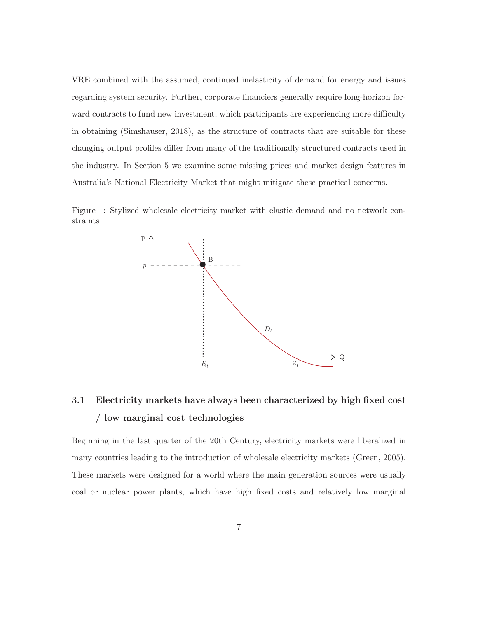VRE combined with the assumed, continued inelasticity of demand for energy and issues regarding system security. Further, corporate financiers generally require long-horizon forward contracts to fund new investment, which participants are experiencing more difficulty in obtaining (Simshauser, 2018), as the structure of contracts that are suitable for these changing output profiles differ from many of the traditionally structured contracts used in the industry. In Section 5 we examine some missing prices and market design features in Australia's National Electricity Market that might mitigate these practical concerns.

Figure 1: Stylized wholesale electricity market with elastic demand and no network constraints



# **3.1 Electricity markets have always been characterized by high fixed cost / low marginal cost technologies**

Beginning in the last quarter of the 20th Century, electricity markets were liberalized in many countries leading to the introduction of wholesale electricity markets (Green, 2005). These markets were designed for a world where the main generation sources were usually coal or nuclear power plants, which have high fixed costs and relatively low marginal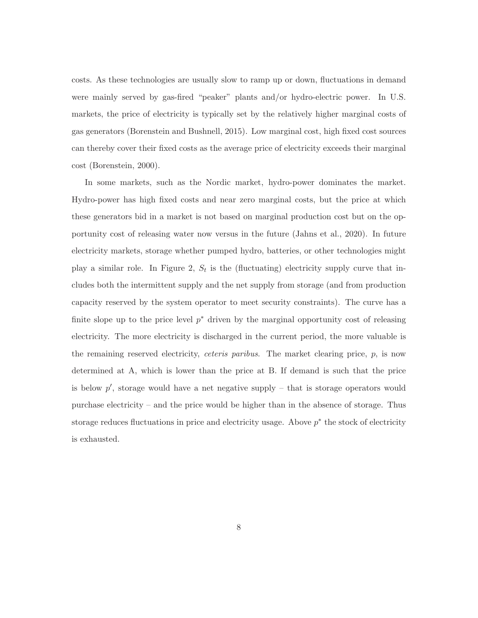costs. As these technologies are usually slow to ramp up or down, fluctuations in demand were mainly served by gas-fired "peaker" plants and/or hydro-electric power. In U.S. markets, the price of electricity is typically set by the relatively higher marginal costs of gas generators (Borenstein and Bushnell, 2015). Low marginal cost, high fixed cost sources can thereby cover their fixed costs as the average price of electricity exceeds their marginal cost (Borenstein, 2000).

In some markets, such as the Nordic market, hydro-power dominates the market. Hydro-power has high fixed costs and near zero marginal costs, but the price at which these generators bid in a market is not based on marginal production cost but on the opportunity cost of releasing water now versus in the future (Jahns et al., 2020). In future electricity markets, storage whether pumped hydro, batteries, or other technologies might play a similar role. In Figure 2,  $S_t$  is the (fluctuating) electricity supply curve that includes both the intermittent supply and the net supply from storage (and from production capacity reserved by the system operator to meet security constraints). The curve has a finite slope up to the price level  $p^*$  driven by the marginal opportunity cost of releasing electricity. The more electricity is discharged in the current period, the more valuable is the remaining reserved electricity, *ceteris paribus*. The market clearing price,  $p$ , is now determined at A, which is lower than the price at B. If demand is such that the price is below  $p'$ , storage would have a net negative supply – that is storage operators would purchase electricity – and the price would be higher than in the absence of storage. Thus storage reduces fluctuations in price and electricity usage. Above  $p^*$  the stock of electricity is exhausted.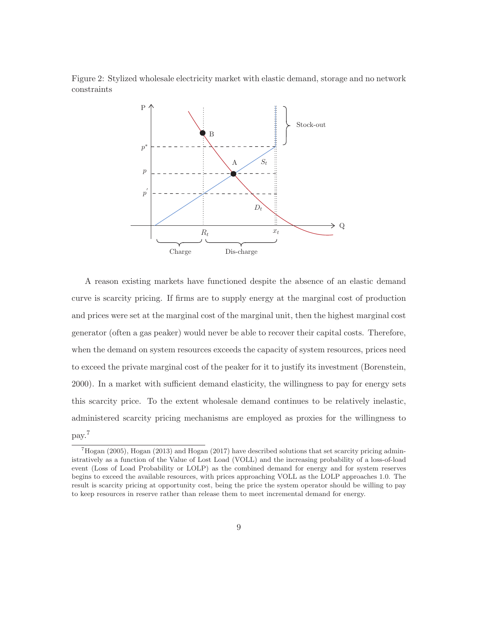Figure 2: Stylized wholesale electricity market with elastic demand, storage and no network constraints



A reason existing markets have functioned despite the absence of an elastic demand curve is scarcity pricing. If firms are to supply energy at the marginal cost of production and prices were set at the marginal cost of the marginal unit, then the highest marginal cost generator (often a gas peaker) would never be able to recover their capital costs. Therefore, when the demand on system resources exceeds the capacity of system resources, prices need to exceed the private marginal cost of the peaker for it to justify its investment (Borenstein, 2000). In a market with sufficient demand elasticity, the willingness to pay for energy sets this scarcity price. To the extent wholesale demand continues to be relatively inelastic, administered scarcity pricing mechanisms are employed as proxies for the willingness to pay.<sup>7</sup>

 $^7$ Hogan (2005), Hogan (2013) and Hogan (2017) have described solutions that set scarcity pricing administratively as a function of the Value of Lost Load (VOLL) and the increasing probability of a loss-of-load event (Loss of Load Probability or LOLP) as the combined demand for energy and for system reserves begins to exceed the available resources, with prices approaching VOLL as the LOLP approaches 1.0. The result is scarcity pricing at opportunity cost, being the price the system operator should be willing to pay to keep resources in reserve rather than release them to meet incremental demand for energy.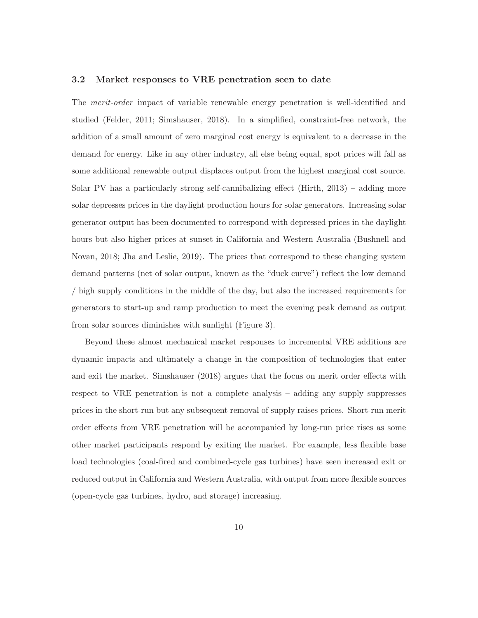#### **3.2 Market responses to VRE penetration seen to date**

The merit-order impact of variable renewable energy penetration is well-identified and studied (Felder, 2011; Simshauser, 2018). In a simplified, constraint-free network, the addition of a small amount of zero marginal cost energy is equivalent to a decrease in the demand for energy. Like in any other industry, all else being equal, spot prices will fall as some additional renewable output displaces output from the highest marginal cost source. Solar PV has a particularly strong self-cannibalizing effect (Hirth, 2013) – adding more solar depresses prices in the daylight production hours for solar generators. Increasing solar generator output has been documented to correspond with depressed prices in the daylight hours but also higher prices at sunset in California and Western Australia (Bushnell and Novan, 2018; Jha and Leslie, 2019). The prices that correspond to these changing system demand patterns (net of solar output, known as the "duck curve") reflect the low demand / high supply conditions in the middle of the day, but also the increased requirements for generators to start-up and ramp production to meet the evening peak demand as output from solar sources diminishes with sunlight (Figure 3).

Beyond these almost mechanical market responses to incremental VRE additions are dynamic impacts and ultimately a change in the composition of technologies that enter and exit the market. Simshauser (2018) argues that the focus on merit order effects with respect to VRE penetration is not a complete analysis – adding any supply suppresses prices in the short-run but any subsequent removal of supply raises prices. Short-run merit order effects from VRE penetration will be accompanied by long-run price rises as some other market participants respond by exiting the market. For example, less flexible base load technologies (coal-fired and combined-cycle gas turbines) have seen increased exit or reduced output in California and Western Australia, with output from more flexible sources (open-cycle gas turbines, hydro, and storage) increasing.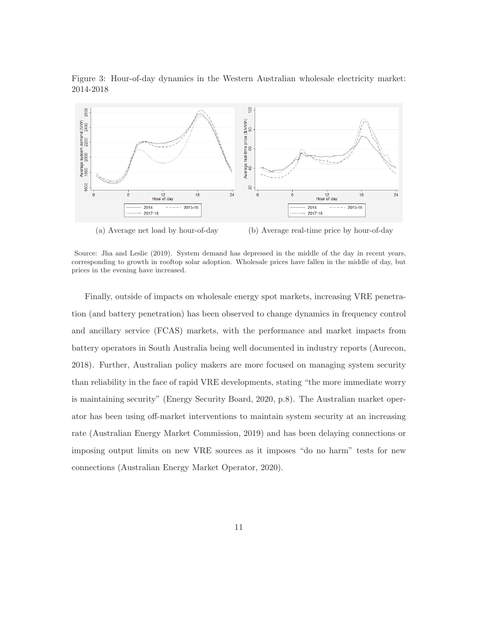



(a) Average net load by hour-of-day (b) Average real-time price by hour-of-day

Finally, outside of impacts on wholesale energy spot markets, increasing VRE penetration (and battery penetration) has been observed to change dynamics in frequency control and ancillary service (FCAS) markets, with the performance and market impacts from battery operators in South Australia being well documented in industry reports (Aurecon, 2018). Further, Australian policy makers are more focused on managing system security than reliability in the face of rapid VRE developments, stating "the more immediate worry is maintaining security" (Energy Security Board, 2020, p.8). The Australian market operator has been using off-market interventions to maintain system security at an increasing rate (Australian Energy Market Commission, 2019) and has been delaying connections or imposing output limits on new VRE sources as it imposes "do no harm" tests for new connections (Australian Energy Market Operator, 2020).

Source: Jha and Leslie (2019). System demand has depressed in the middle of the day in recent years, corresponding to growth in rooftop solar adoption. Wholesale prices have fallen in the middle of day, but prices in the evening have increased.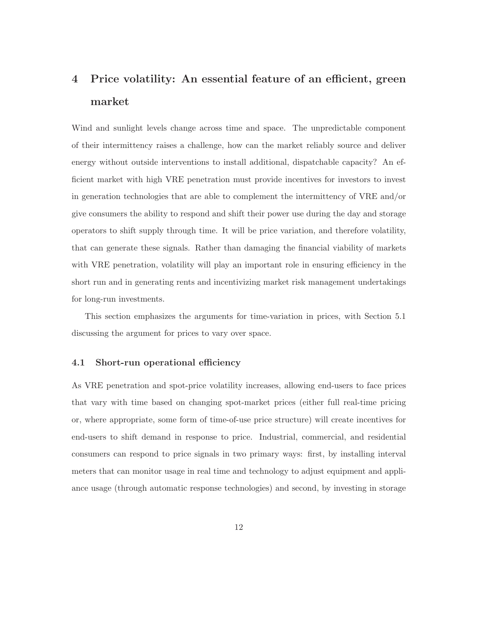# **4 Price volatility: An essential feature of an efficient, green market**

Wind and sunlight levels change across time and space. The unpredictable component of their intermittency raises a challenge, how can the market reliably source and deliver energy without outside interventions to install additional, dispatchable capacity? An efficient market with high VRE penetration must provide incentives for investors to invest in generation technologies that are able to complement the intermittency of VRE and/or give consumers the ability to respond and shift their power use during the day and storage operators to shift supply through time. It will be price variation, and therefore volatility, that can generate these signals. Rather than damaging the financial viability of markets with VRE penetration, volatility will play an important role in ensuring efficiency in the short run and in generating rents and incentivizing market risk management undertakings for long-run investments.

This section emphasizes the arguments for time-variation in prices, with Section 5.1 discussing the argument for prices to vary over space.

### **4.1 Short-run operational efficiency**

As VRE penetration and spot-price volatility increases, allowing end-users to face prices that vary with time based on changing spot-market prices (either full real-time pricing or, where appropriate, some form of time-of-use price structure) will create incentives for end-users to shift demand in response to price. Industrial, commercial, and residential consumers can respond to price signals in two primary ways: first, by installing interval meters that can monitor usage in real time and technology to adjust equipment and appliance usage (through automatic response technologies) and second, by investing in storage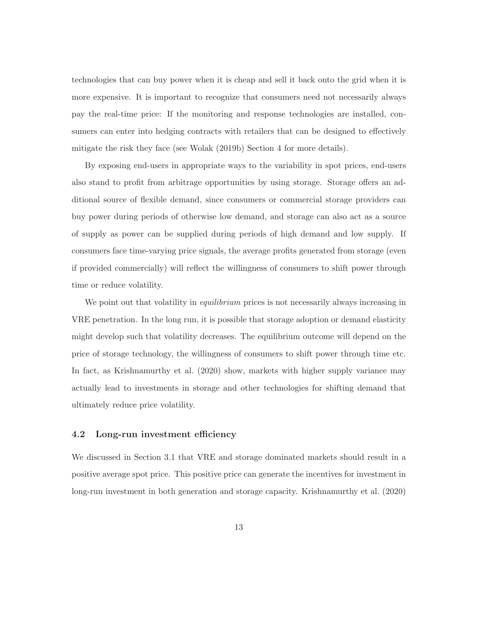technologies that can buy power when it is cheap and sell it back onto the grid when it is more expensive. It is important to recognize that consumers need not necessarily always pay the real-time price: If the monitoring and response technologies are installed, consumers can enter into hedging contracts with retailers that can be designed to effectively mitigate the risk they face (see Wolak (2019b) Section 4 for more details).

By exposing end-users in appropriate ways to the variability in spot prices, end-users also stand to profit from arbitrage opportunities by using storage. Storage offers an additional source of flexible demand, since consumers or commercial storage providers can buy power during periods of otherwise low demand, and storage can also act as a source of supply as power can be supplied during periods of high demand and low supply. If consumers face time-varying price signals, the average profits generated from storage (even if provided commercially) will reflect the willingness of consumers to shift power through time or reduce volatility.

We point out that volatility in *equilibrium* prices is not necessarily always increasing in VRE penetration. In the long run, it is possible that storage adoption or demand elasticity might develop such that volatility decreases. The equilibrium outcome will depend on the price of storage technology, the willingness of consumers to shift power through time etc. In fact, as Krishnamurthy et al. (2020) show, markets with higher supply variance may actually lead to investments in storage and other technologies for shifting demand that ultimately reduce price volatility.

### **4.2 Long-run investment efficiency**

We discussed in Section 3.1 that VRE and storage dominated markets should result in a positive average spot price. This positive price can generate the incentives for investment in long-run investment in both generation and storage capacity. Krishnamurthy et al. (2020)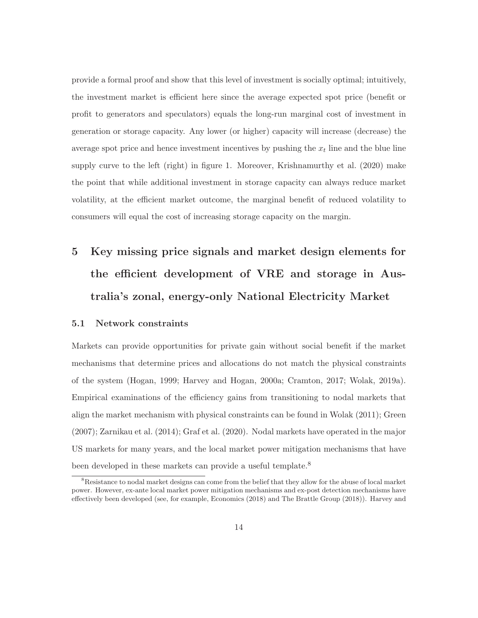provide a formal proof and show that this level of investment is socially optimal; intuitively, the investment market is efficient here since the average expected spot price (benefit or profit to generators and speculators) equals the long-run marginal cost of investment in generation or storage capacity. Any lower (or higher) capacity will increase (decrease) the average spot price and hence investment incentives by pushing the  $x_t$  line and the blue line supply curve to the left (right) in figure 1. Moreover, Krishnamurthy et al. (2020) make the point that while additional investment in storage capacity can always reduce market volatility, at the efficient market outcome, the marginal benefit of reduced volatility to consumers will equal the cost of increasing storage capacity on the margin.

# **5 Key missing price signals and market design elements for the efficient development of VRE and storage in Australia's zonal, energy-only National Electricity Market**

### **5.1 Network constraints**

Markets can provide opportunities for private gain without social benefit if the market mechanisms that determine prices and allocations do not match the physical constraints of the system (Hogan, 1999; Harvey and Hogan, 2000a; Cramton, 2017; Wolak, 2019a). Empirical examinations of the efficiency gains from transitioning to nodal markets that align the market mechanism with physical constraints can be found in Wolak (2011); Green (2007); Zarnikau et al. (2014); Graf et al. (2020). Nodal markets have operated in the major US markets for many years, and the local market power mitigation mechanisms that have been developed in these markets can provide a useful template.<sup>8</sup>

<sup>&</sup>lt;sup>8</sup>Resistance to nodal market designs can come from the belief that they allow for the abuse of local market power. However, ex-ante local market power mitigation mechanisms and ex-post detection mechanisms have effectively been developed (see, for example, Economics (2018) and The Brattle Group (2018)). Harvey and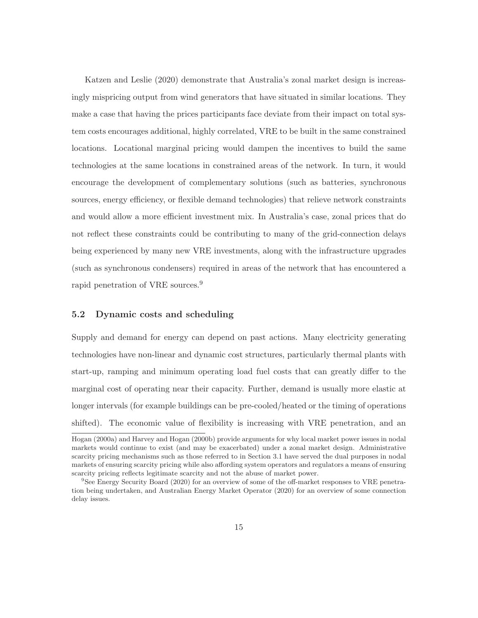Katzen and Leslie (2020) demonstrate that Australia's zonal market design is increasingly mispricing output from wind generators that have situated in similar locations. They make a case that having the prices participants face deviate from their impact on total system costs encourages additional, highly correlated, VRE to be built in the same constrained locations. Locational marginal pricing would dampen the incentives to build the same technologies at the same locations in constrained areas of the network. In turn, it would encourage the development of complementary solutions (such as batteries, synchronous sources, energy efficiency, or flexible demand technologies) that relieve network constraints and would allow a more efficient investment mix. In Australia's case, zonal prices that do not reflect these constraints could be contributing to many of the grid-connection delays being experienced by many new VRE investments, along with the infrastructure upgrades (such as synchronous condensers) required in areas of the network that has encountered a rapid penetration of VRE sources.<sup>9</sup>

### **5.2 Dynamic costs and scheduling**

Supply and demand for energy can depend on past actions. Many electricity generating technologies have non-linear and dynamic cost structures, particularly thermal plants with start-up, ramping and minimum operating load fuel costs that can greatly differ to the marginal cost of operating near their capacity. Further, demand is usually more elastic at longer intervals (for example buildings can be pre-cooled/heated or the timing of operations shifted). The economic value of flexibility is increasing with VRE penetration, and an

Hogan (2000a) and Harvey and Hogan (2000b) provide arguments for why local market power issues in nodal markets would continue to exist (and may be exacerbated) under a zonal market design. Administrative scarcity pricing mechanisms such as those referred to in Section 3.1 have served the dual purposes in nodal markets of ensuring scarcity pricing while also affording system operators and regulators a means of ensuring scarcity pricing reflects legitimate scarcity and not the abuse of market power.

<sup>9</sup>See Energy Security Board (2020) for an overview of some of the off-market responses to VRE penetration being undertaken, and Australian Energy Market Operator (2020) for an overview of some connection delay issues.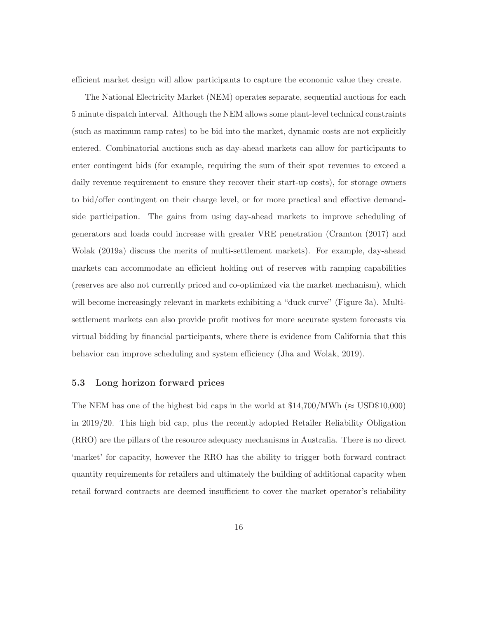efficient market design will allow participants to capture the economic value they create.

The National Electricity Market (NEM) operates separate, sequential auctions for each 5 minute dispatch interval. Although the NEM allows some plant-level technical constraints (such as maximum ramp rates) to be bid into the market, dynamic costs are not explicitly entered. Combinatorial auctions such as day-ahead markets can allow for participants to enter contingent bids (for example, requiring the sum of their spot revenues to exceed a daily revenue requirement to ensure they recover their start-up costs), for storage owners to bid/offer contingent on their charge level, or for more practical and effective demandside participation. The gains from using day-ahead markets to improve scheduling of generators and loads could increase with greater VRE penetration (Cramton (2017) and Wolak (2019a) discuss the merits of multi-settlement markets). For example, day-ahead markets can accommodate an efficient holding out of reserves with ramping capabilities (reserves are also not currently priced and co-optimized via the market mechanism), which will become increasingly relevant in markets exhibiting a "duck curve" (Figure 3a). Multisettlement markets can also provide profit motives for more accurate system forecasts via virtual bidding by financial participants, where there is evidence from California that this behavior can improve scheduling and system efficiency (Jha and Wolak, 2019).

#### **5.3 Long horizon forward prices**

The NEM has one of the highest bid caps in the world at  $$14,700/MWh \approx USD$10,000$ in 2019/20. This high bid cap, plus the recently adopted Retailer Reliability Obligation (RRO) are the pillars of the resource adequacy mechanisms in Australia. There is no direct 'market' for capacity, however the RRO has the ability to trigger both forward contract quantity requirements for retailers and ultimately the building of additional capacity when retail forward contracts are deemed insufficient to cover the market operator's reliability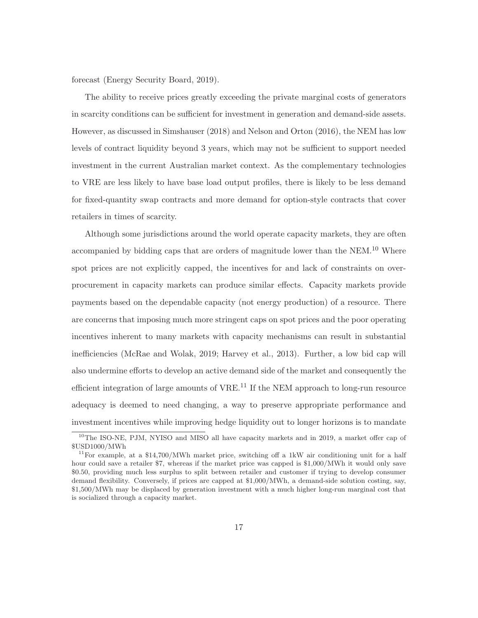forecast (Energy Security Board, 2019).

The ability to receive prices greatly exceeding the private marginal costs of generators in scarcity conditions can be sufficient for investment in generation and demand-side assets. However, as discussed in Simshauser (2018) and Nelson and Orton (2016), the NEM has low levels of contract liquidity beyond 3 years, which may not be sufficient to support needed investment in the current Australian market context. As the complementary technologies to VRE are less likely to have base load output profiles, there is likely to be less demand for fixed-quantity swap contracts and more demand for option-style contracts that cover retailers in times of scarcity.

Although some jurisdictions around the world operate capacity markets, they are often accompanied by bidding caps that are orders of magnitude lower than the NEM.<sup>10</sup> Where spot prices are not explicitly capped, the incentives for and lack of constraints on overprocurement in capacity markets can produce similar effects. Capacity markets provide payments based on the dependable capacity (not energy production) of a resource. There are concerns that imposing much more stringent caps on spot prices and the poor operating incentives inherent to many markets with capacity mechanisms can result in substantial inefficiencies (McRae and Wolak, 2019; Harvey et al., 2013). Further, a low bid cap will also undermine efforts to develop an active demand side of the market and consequently the efficient integration of large amounts of  $VRE<sup>11</sup>$  If the NEM approach to long-run resource adequacy is deemed to need changing, a way to preserve appropriate performance and investment incentives while improving hedge liquidity out to longer horizons is to mandate

<sup>&</sup>lt;sup>10</sup>The ISO-NE, PJM, NYISO and MISO all have capacity markets and in 2019, a market offer cap of \$USD1000/MWh

<sup>&</sup>lt;sup>11</sup>For example, at a \$14,700/MWh market price, switching off a 1kW air conditioning unit for a half hour could save a retailer \$7, whereas if the market price was capped is \$1,000/MWh it would only save \$0.50, providing much less surplus to split between retailer and customer if trying to develop consumer demand flexibility. Conversely, if prices are capped at \$1,000/MWh, a demand-side solution costing, say, \$1,500/MWh may be displaced by generation investment with a much higher long-run marginal cost that is socialized through a capacity market.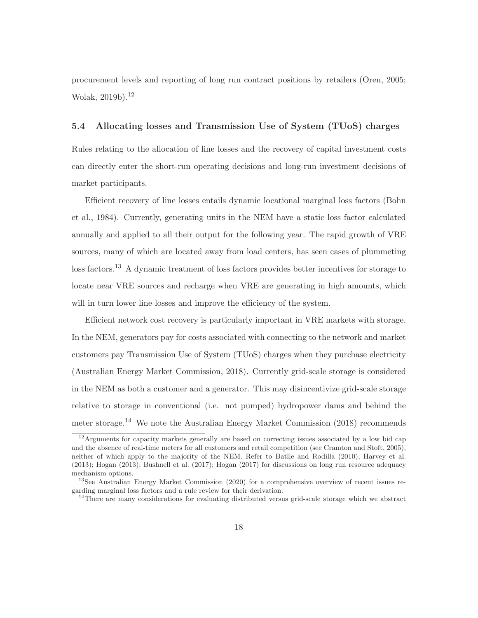procurement levels and reporting of long run contract positions by retailers (Oren, 2005; Wolak, 2019b).<sup>12</sup>

### **5.4 Allocating losses and Transmission Use of System (TUoS) charges**

Rules relating to the allocation of line losses and the recovery of capital investment costs can directly enter the short-run operating decisions and long-run investment decisions of market participants.

Efficient recovery of line losses entails dynamic locational marginal loss factors (Bohn et al., 1984). Currently, generating units in the NEM have a static loss factor calculated annually and applied to all their output for the following year. The rapid growth of VRE sources, many of which are located away from load centers, has seen cases of plummeting loss factors.<sup>13</sup> A dynamic treatment of loss factors provides better incentives for storage to locate near VRE sources and recharge when VRE are generating in high amounts, which will in turn lower line losses and improve the efficiency of the system.

Efficient network cost recovery is particularly important in VRE markets with storage. In the NEM, generators pay for costs associated with connecting to the network and market customers pay Transmission Use of System (TUoS) charges when they purchase electricity (Australian Energy Market Commission, 2018). Currently grid-scale storage is considered in the NEM as both a customer and a generator. This may disincentivize grid-scale storage relative to storage in conventional (i.e. not pumped) hydropower dams and behind the meter storage.<sup>14</sup> We note the Australian Energy Market Commission (2018) recommends

<sup>&</sup>lt;sup>12</sup>Arguments for capacity markets generally are based on correcting issues associated by a low bid cap and the absence of real-time meters for all customers and retail competition (see Cramton and Stoft, 2005), neither of which apply to the majority of the NEM. Refer to Batlle and Rodilla (2010); Harvey et al. (2013); Hogan (2013); Bushnell et al. (2017); Hogan (2017) for discussions on long run resource adequacy mechanism options.

<sup>13</sup>See Australian Energy Market Commission (2020) for a comprehensive overview of recent issues regarding marginal loss factors and a rule review for their derivation.

<sup>&</sup>lt;sup>14</sup>There are many considerations for evaluating distributed versus grid-scale storage which we abstract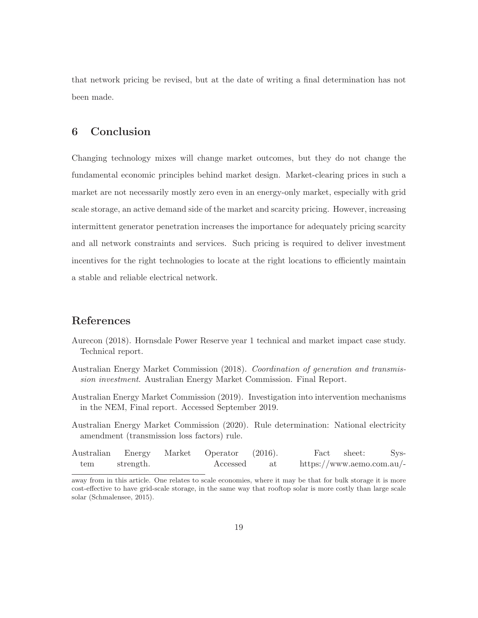that network pricing be revised, but at the date of writing a final determination has not been made.

## **6 Conclusion**

Changing technology mixes will change market outcomes, but they do not change the fundamental economic principles behind market design. Market-clearing prices in such a market are not necessarily mostly zero even in an energy-only market, especially with grid scale storage, an active demand side of the market and scarcity pricing. However, increasing intermittent generator penetration increases the importance for adequately pricing scarcity and all network constraints and services. Such pricing is required to deliver investment incentives for the right technologies to locate at the right locations to efficiently maintain a stable and reliable electrical network.

# **References**

- Aurecon (2018). Hornsdale Power Reserve year 1 technical and market impact case study. Technical report.
- Australian Energy Market Commission (2018). Coordination of generation and transmission investment. Australian Energy Market Commission. Final Report.
- Australian Energy Market Commission (2019). Investigation into intervention mechanisms in the NEM, Final report. Accessed September 2019.
- Australian Energy Market Commission (2020). Rule determination: National electricity amendment (transmission loss factors) rule.

|     |           | Australian Energy Market Operator (2016). |    | Fact sheet:               | Sys- |
|-----|-----------|-------------------------------------------|----|---------------------------|------|
| tem | strength. | Accessed                                  | at | https://www.aemo.com.au/- |      |

away from in this article. One relates to scale economies, where it may be that for bulk storage it is more cost-effective to have grid-scale storage, in the same way that rooftop solar is more costly than large scale solar (Schmalensee, 2015).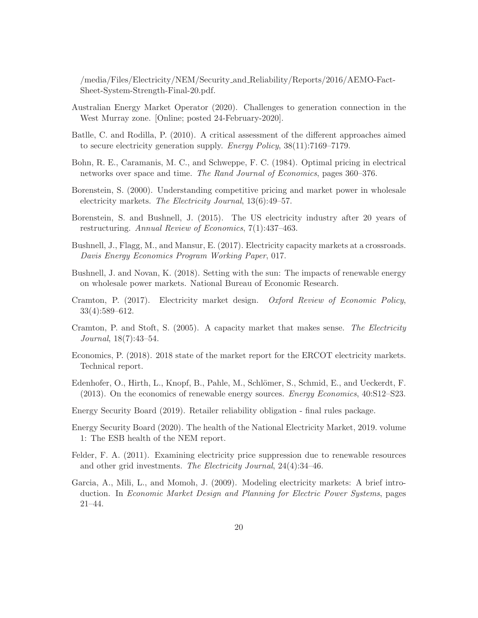/media/Files/Electricity/NEM/Security and Reliability/Reports/2016/AEMO-Fact-Sheet-System-Strength-Final-20.pdf.

- Australian Energy Market Operator (2020). Challenges to generation connection in the West Murray zone. [Online; posted 24-February-2020].
- Batlle, C. and Rodilla, P. (2010). A critical assessment of the different approaches aimed to secure electricity generation supply. Energy Policy, 38(11):7169–7179.
- Bohn, R. E., Caramanis, M. C., and Schweppe, F. C. (1984). Optimal pricing in electrical networks over space and time. The Rand Journal of Economics, pages 360–376.
- Borenstein, S. (2000). Understanding competitive pricing and market power in wholesale electricity markets. The Electricity Journal, 13(6):49–57.
- Borenstein, S. and Bushnell, J. (2015). The US electricity industry after 20 years of restructuring. Annual Review of Economics, 7(1):437–463.
- Bushnell, J., Flagg, M., and Mansur, E. (2017). Electricity capacity markets at a crossroads. Davis Energy Economics Program Working Paper, 017.
- Bushnell, J. and Novan, K. (2018). Setting with the sun: The impacts of renewable energy on wholesale power markets. National Bureau of Economic Research.
- Cramton, P. (2017). Electricity market design. Oxford Review of Economic Policy, 33(4):589–612.
- Cramton, P. and Stoft, S. (2005). A capacity market that makes sense. The Electricity Journal, 18(7):43–54.
- Economics, P. (2018). 2018 state of the market report for the ERCOT electricity markets. Technical report.
- Edenhofer, O., Hirth, L., Knopf, B., Pahle, M., Schlömer, S., Schmid, E., and Ueckerdt, F. (2013). On the economics of renewable energy sources. Energy Economics, 40:S12–S23.
- Energy Security Board (2019). Retailer reliability obligation final rules package.
- Energy Security Board (2020). The health of the National Electricity Market, 2019. volume 1: The ESB health of the NEM report.
- Felder, F. A. (2011). Examining electricity price suppression due to renewable resources and other grid investments. The Electricity Journal, 24(4):34–46.
- Garcia, A., Mili, L., and Momoh, J. (2009). Modeling electricity markets: A brief introduction. In Economic Market Design and Planning for Electric Power Systems, pages 21–44.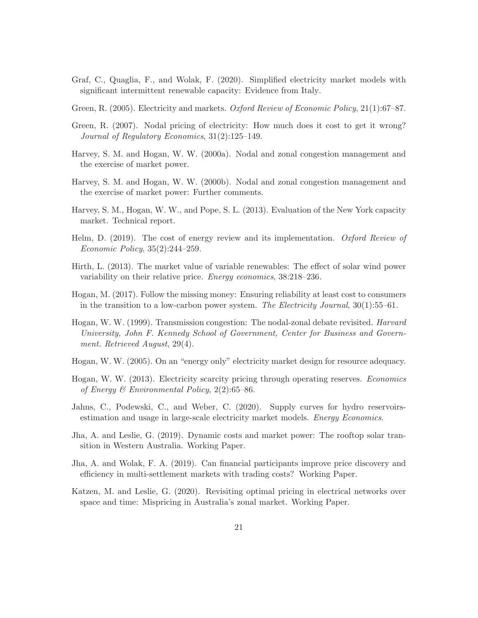- Graf, C., Quaglia, F., and Wolak, F. (2020). Simplified electricity market models with significant intermittent renewable capacity: Evidence from Italy.
- Green, R. (2005). Electricity and markets. Oxford Review of Economic Policy, 21(1):67–87.
- Green, R. (2007). Nodal pricing of electricity: How much does it cost to get it wrong? Journal of Regulatory Economics, 31(2):125–149.
- Harvey, S. M. and Hogan, W. W. (2000a). Nodal and zonal congestion management and the exercise of market power.
- Harvey, S. M. and Hogan, W. W. (2000b). Nodal and zonal congestion management and the exercise of market power: Further comments.
- Harvey, S. M., Hogan, W. W., and Pope, S. L. (2013). Evaluation of the New York capacity market. Technical report.
- Helm, D. (2019). The cost of energy review and its implementation. Oxford Review of Economic Policy, 35(2):244–259.
- Hirth, L. (2013). The market value of variable renewables: The effect of solar wind power variability on their relative price. Energy economics, 38:218–236.
- Hogan, M. (2017). Follow the missing money: Ensuring reliability at least cost to consumers in the transition to a low-carbon power system. The Electricity Journal,  $30(1)$ :55–61.
- Hogan, W. W. (1999). Transmission congestion: The nodal-zonal debate revisited. Harvard University, John F. Kennedy School of Government, Center for Business and Government. Retrieved August, 29(4).
- Hogan, W. W. (2005). On an "energy only" electricity market design for resource adequacy.
- Hogan, W. W. (2013). Electricity scarcity pricing through operating reserves. Economics of Energy & Environmental Policy, 2(2):65–86.
- Jahns, C., Podewski, C., and Weber, C. (2020). Supply curves for hydro reservoirsestimation and usage in large-scale electricity market models. Energy Economics.
- Jha, A. and Leslie, G. (2019). Dynamic costs and market power: The rooftop solar transition in Western Australia. Working Paper.
- Jha, A. and Wolak, F. A. (2019). Can financial participants improve price discovery and efficiency in multi-settlement markets with trading costs? Working Paper.
- Katzen, M. and Leslie, G. (2020). Revisiting optimal pricing in electrical networks over space and time: Mispricing in Australia's zonal market. Working Paper.